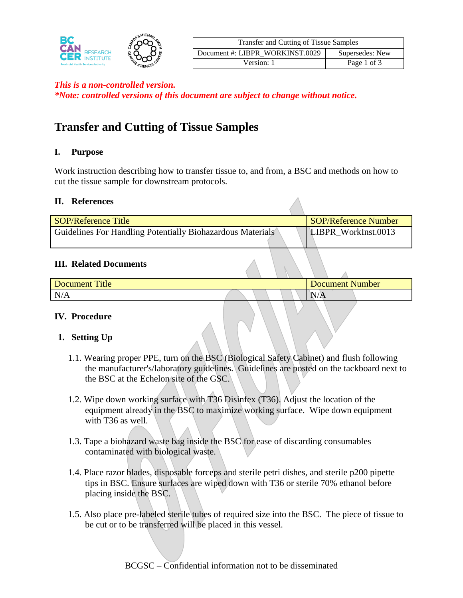

| Transfer and Cutting of Tissue Samples |                 |  |  |
|----------------------------------------|-----------------|--|--|
| Document #: LIBPR WORKINST.0029        | Supersedes: New |  |  |
| Version: 1                             | Page 1 of 3     |  |  |

### *This is a non-controlled version.*

*\*Note: controlled versions of this document are subject to change without notice.*

# **Transfer and Cutting of Tissue Samples**

### **I. Purpose**

Work instruction describing how to transfer tissue to, and from, a BSC and methods on how to cut the tissue sample for downstream protocols.

#### **II. References**

| <b>SOP/Reference Title</b>                                 | SOP/Reference Number |
|------------------------------------------------------------|----------------------|
| Guidelines For Handling Potentially Biohazardous Materials | LIBPR WorkInst.0013  |

#### **III. Related Documents**

| <b>Title</b><br>Document | Document Number |
|--------------------------|-----------------|
| N/A                      | 17/71           |

### **IV. Procedure**

### **1. Setting Up**

- 1.1. Wearing proper PPE, turn on the BSC (Biological Safety Cabinet) and flush following the manufacturer's/laboratory guidelines. Guidelines are posted on the tackboard next to the BSC at the Echelon site of the GSC.
- 1.2. Wipe down working surface with T36 Disinfex (T36). Adjust the location of the equipment already in the BSC to maximize working surface. Wipe down equipment with T36 as well.
- 1.3. Tape a biohazard waste bag inside the BSC for ease of discarding consumables contaminated with biological waste.
- 1.4. Place razor blades, disposable forceps and sterile petri dishes, and sterile p200 pipette tips in BSC. Ensure surfaces are wiped down with T36 or sterile 70% ethanol before placing inside the BSC.
- 1.5. Also place pre-labeled sterile tubes of required size into the BSC. The piece of tissue to be cut or to be transferred will be placed in this vessel.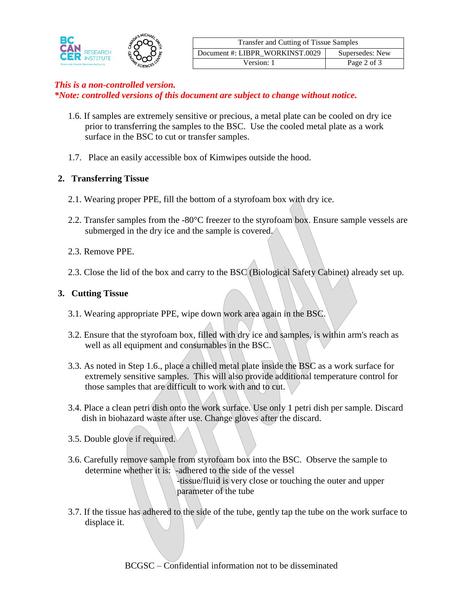

## *This is a non-controlled version.*

*\*Note: controlled versions of this document are subject to change without notice.*

- 1.6. If samples are extremely sensitive or precious, a metal plate can be cooled on dry ice prior to transferring the samples to the BSC. Use the cooled metal plate as a work surface in the BSC to cut or transfer samples.
- 1.7. Place an easily accessible box of Kimwipes outside the hood.

## **2. Transferring Tissue**

- 2.1. Wearing proper PPE, fill the bottom of a styrofoam box with dry ice.
- 2.2. Transfer samples from the -80°C freezer to the styrofoam box. Ensure sample vessels are submerged in the dry ice and the sample is covered.
- 2.3. Remove PPE.
- 2.3. Close the lid of the box and carry to the BSC (Biological Safety Cabinet) already set up.

# **3. Cutting Tissue**

- 3.1. Wearing appropriate PPE, wipe down work area again in the BSC.
- 3.2. Ensure that the styrofoam box, filled with dry ice and samples, is within arm's reach as well as all equipment and consumables in the BSC.
- 3.3. As noted in Step 1.6., place a chilled metal plate inside the BSC as a work surface for extremely sensitive samples. This will also provide additional temperature control for those samples that are difficult to work with and to cut.
- 3.4. Place a clean petri dish onto the work surface. Use only 1 petri dish per sample. Discard dish in biohazard waste after use. Change gloves after the discard.
- 3.5. Double glove if required.
- 3.6. Carefully remove sample from styrofoam box into the BSC. Observe the sample to determine whether it is: -adhered to the side of the vessel -tissue/fluid is very close or touching the outer and upper

parameter of the tube

3.7. If the tissue has adhered to the side of the tube, gently tap the tube on the work surface to displace it.